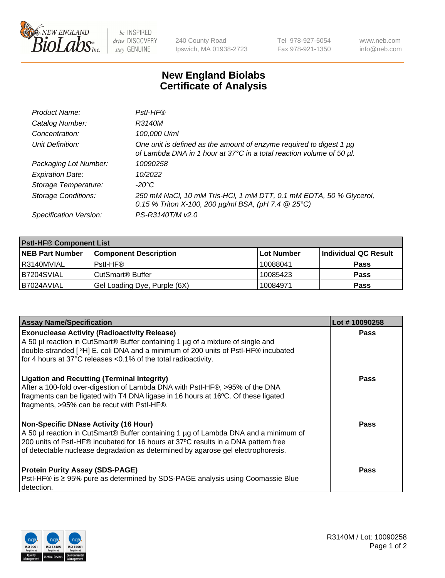

 $be$  INSPIRED drive DISCOVERY stay GENUINE

240 County Road Ipswich, MA 01938-2723 Tel 978-927-5054 Fax 978-921-1350 www.neb.com info@neb.com

## **New England Biolabs Certificate of Analysis**

| Product Name:              | Pstl-HF®                                                                                                                                             |
|----------------------------|------------------------------------------------------------------------------------------------------------------------------------------------------|
| Catalog Number:            | R3140M                                                                                                                                               |
| Concentration:             | 100,000 U/ml                                                                                                                                         |
| Unit Definition:           | One unit is defined as the amount of enzyme required to digest 1 µg<br>of Lambda DNA in 1 hour at 37°C in a total reaction volume of 50 µl.          |
| Packaging Lot Number:      | 10090258                                                                                                                                             |
| <b>Expiration Date:</b>    | 10/2022                                                                                                                                              |
| Storage Temperature:       | $-20^{\circ}$ C                                                                                                                                      |
| <b>Storage Conditions:</b> | 250 mM NaCl, 10 mM Tris-HCl, 1 mM DTT, 0.1 mM EDTA, 50 % Glycerol,<br>0.15 % Triton X-100, 200 $\mu$ g/ml BSA, (pH 7.4 $\textcircled{25}^{\circ}$ C) |
| Specification Version:     | PS-R3140T/M v2.0                                                                                                                                     |

| <b>PstI-HF® Component List</b> |                                    |                   |                      |  |
|--------------------------------|------------------------------------|-------------------|----------------------|--|
| <b>NEB Part Number</b>         | <b>Component Description</b>       | <b>Lot Number</b> | Individual QC Result |  |
| I R3140MVIAL                   | Pstl-HF®                           | 10088041          | <b>Pass</b>          |  |
| B7204SVIAL                     | <b>CutSmart<sup>®</sup> Buffer</b> | 10085423          | <b>Pass</b>          |  |
| B7024AVIAL                     | Gel Loading Dye, Purple (6X)       | 10084971          | <b>Pass</b>          |  |

| <b>Assay Name/Specification</b>                                                                                                                                                                                                                                                                               | Lot #10090258 |
|---------------------------------------------------------------------------------------------------------------------------------------------------------------------------------------------------------------------------------------------------------------------------------------------------------------|---------------|
| <b>Exonuclease Activity (Radioactivity Release)</b><br>A 50 µl reaction in CutSmart® Buffer containing 1 µg of a mixture of single and<br>double-stranded [3H] E. coli DNA and a minimum of 200 units of PstI-HF® incubated                                                                                   | <b>Pass</b>   |
| for 4 hours at 37°C releases <0.1% of the total radioactivity.<br><b>Ligation and Recutting (Terminal Integrity)</b>                                                                                                                                                                                          | Pass          |
| After a 100-fold over-digestion of Lambda DNA with PstI-HF®, >95% of the DNA<br>fragments can be ligated with T4 DNA ligase in 16 hours at 16°C. Of these ligated<br>fragments, >95% can be recut with PstI-HF®.                                                                                              |               |
| <b>Non-Specific DNase Activity (16 Hour)</b><br>A 50 µl reaction in CutSmart® Buffer containing 1 µg of Lambda DNA and a minimum of<br>200 units of PstI-HF® incubated for 16 hours at 37°C results in a DNA pattern free<br>of detectable nuclease degradation as determined by agarose gel electrophoresis. | Pass          |
| <b>Protein Purity Assay (SDS-PAGE)</b><br>PstI-HF® is ≥ 95% pure as determined by SDS-PAGE analysis using Coomassie Blue<br>I detection.                                                                                                                                                                      | Pass          |